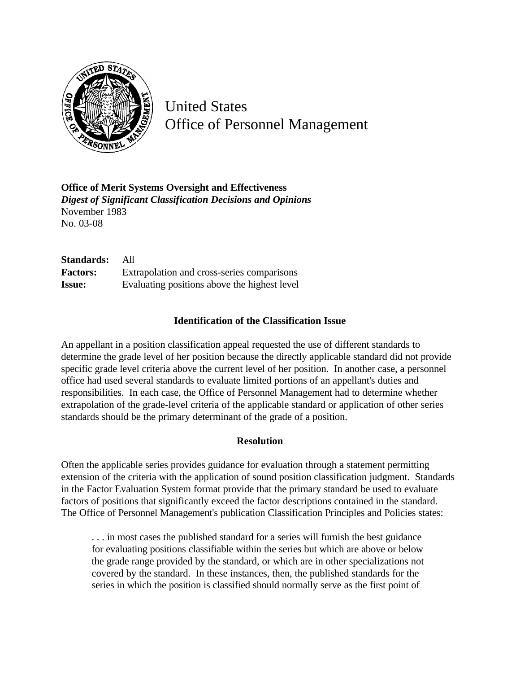

United States Office of Personnel Management

**Office of Merit Systems Oversight and Effectiveness** *Digest of Significant Classification Decisions and Opinions* November 1983 No. 03-08

**Standards:** All **Factors:** Extrapolation and cross-series comparisons **Issue:** Evaluating positions above the highest level

## **Identification of the Classification Issue**

An appellant in a position classification appeal requested the use of different standards to determine the grade level of her position because the directly applicable standard did not provide specific grade level criteria above the current level of her position. In another case, a personnel office had used several standards to evaluate limited portions of an appellant's duties and responsibilities. In each case, the Office of Personnel Management had to determine whether extrapolation of the grade-level criteria of the applicable standard or application of other series standards should be the primary determinant of the grade of a position.

## **Resolution**

Often the applicable series provides guidance for evaluation through a statement permitting extension of the criteria with the application of sound position classification judgment. Standards in the Factor Evaluation System format provide that the primary standard be used to evaluate factors of positions that significantly exceed the factor descriptions contained in the standard. The Office of Personnel Management's publication Classification Principles and Policies states:

. . . in most cases the published standard for a series will furnish the best guidance for evaluating positions classifiable within the series but which are above or below the grade range provided by the standard, or which are in other specializations not covered by the standard. In these instances, then, the published standards for the series in which the position is classified should normally serve as the first point of